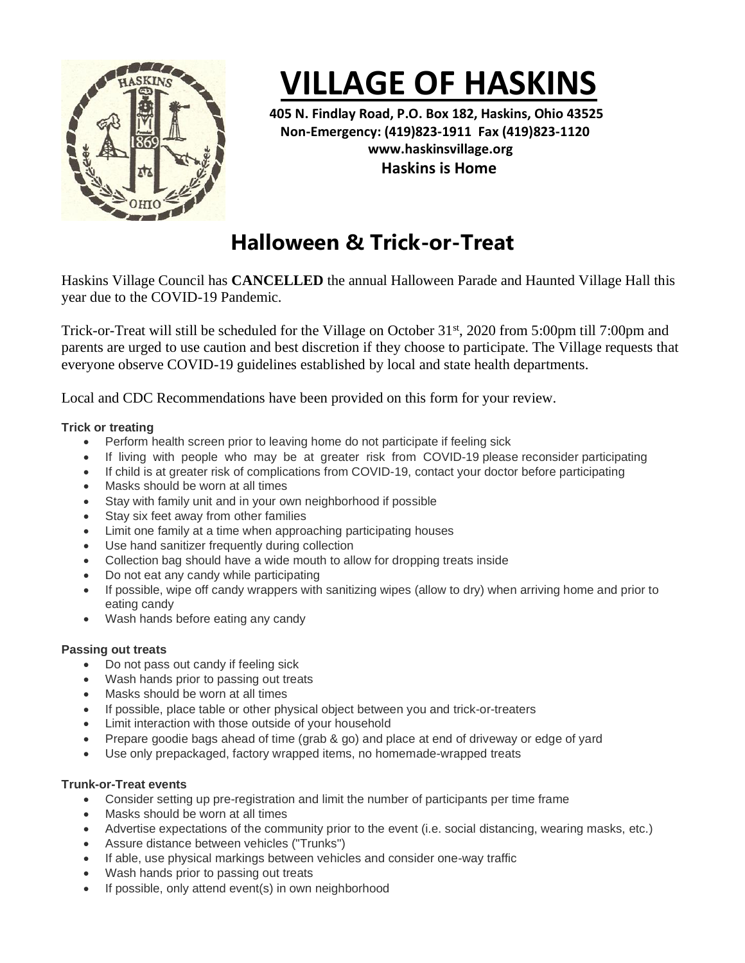

# **VILLAGE OF HASKINS**

 **405 N. Findlay Road, P.O. Box 182, Haskins, Ohio 43525 Non-Emergency: (419)823-1911 Fax (419)823-1120 www.haskinsvillage.org Haskins is Home**

## **Halloween & Trick-or-Treat**

Haskins Village Council has **CANCELLED** the annual Halloween Parade and Haunted Village Hall this year due to the COVID-19 Pandemic.

Trick-or-Treat will still be scheduled for the Village on October 31st, 2020 from 5:00pm till 7:00pm and parents are urged to use caution and best discretion if they choose to participate. The Village requests that everyone observe COVID-19 guidelines established by local and state health departments.

Local and CDC Recommendations have been provided on this form for your review.

#### **Trick or treating**

- Perform health screen prior to leaving home do not participate if feeling sick
- If living with people who may be at greater risk from COVID-19 please reconsider participating
- If child is at greater risk of complications from COVID-19, contact your doctor before participating
- Masks should be worn at all times
- Stay with family unit and in your own neighborhood if possible
- Stay six feet away from other families
- Limit one family at a time when approaching participating houses
- Use hand sanitizer frequently during collection
- Collection bag should have a wide mouth to allow for dropping treats inside
- Do not eat any candy while participating
- If possible, wipe off candy wrappers with sanitizing wipes (allow to dry) when arriving home and prior to eating candy
- Wash hands before eating any candy

#### **Passing out treats**

- Do not pass out candy if feeling sick
- Wash hands prior to passing out treats
- Masks should be worn at all times
- If possible, place table or other physical object between you and trick-or-treaters
- Limit interaction with those outside of your household
- Prepare goodie bags ahead of time (grab & go) and place at end of driveway or edge of yard
- Use only prepackaged, factory wrapped items, no homemade-wrapped treats

#### **Trunk-or-Treat events**

- Consider setting up pre-registration and limit the number of participants per time frame
- Masks should be worn at all times
- Advertise expectations of the community prior to the event (i.e. social distancing, wearing masks, etc.)
- Assure distance between vehicles ("Trunks")
- If able, use physical markings between vehicles and consider one-way traffic
- Wash hands prior to passing out treats
- If possible, only attend event(s) in own neighborhood